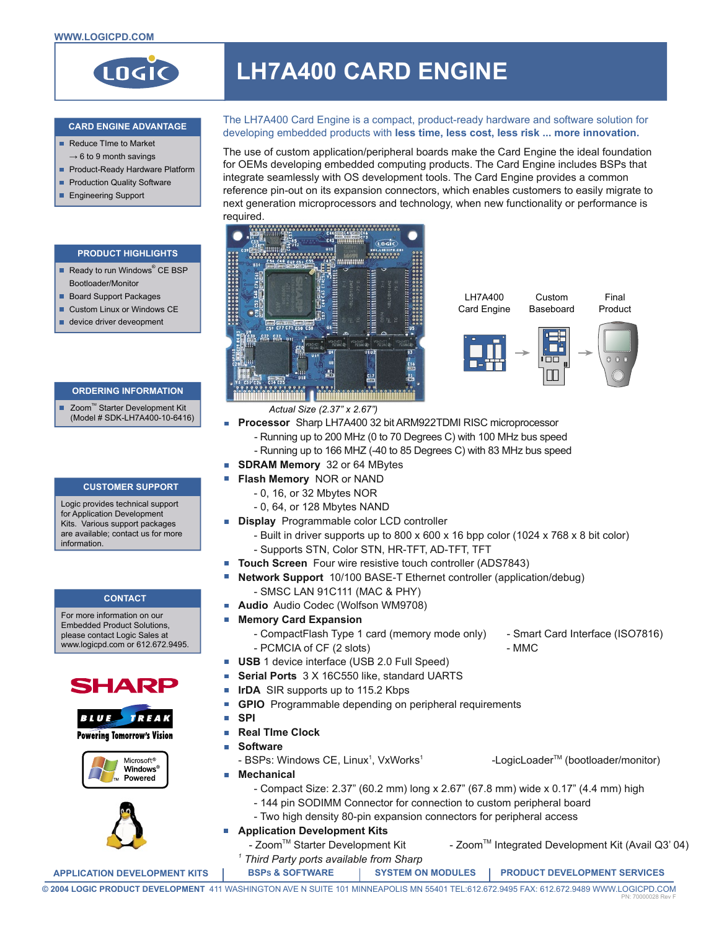

# **LH7A400 CARD ENGINE**

## **CARD ENGINE ADVANTAGE**

- Reduce Time to Market  $\rightarrow$  6 to 9 month savings
- Product-Ready Hardware Platform
- **Production Quality Software**
- **Engineering Support**

## **PRODUCT HIGHLIGHTS**

- Ready to run Windows<sup>®</sup> CE BSP Bootloader/Monitor
- **Board Support Packages**
- Custom Linux or Windows CE
- device driver deveopment

## **ORDERING INFORMATION**

■ Zoom™ Starter Development Kit (Model # SDK-LH7A400-10-6416)

#### **CUSTOMER SUPPORT**

Logic provides technical support for Application Development Kits. Various support packages are available; contact us for more information.

## **CONTACT**

For more information on our Embedded Product Solutions, please contact Logic Sales at .<br>www.logicpd.com or 612.672.9495.





Microsoft<sup>®</sup> **Windows** Powered



The LH7A400 Card Engine is a compact, product-ready hardware and software solution for developing embedded products with **less time, less cost, less risk ... more innovation.**

The use of custom application/peripheral boards make the Card Engine the ideal foundation for OEMs developing embedded computing products. The Card Engine includes BSPs that integrate seamlessly with OS development tools. The Card Engine provides a common reference pin-out on its expansion connectors, which enables customers to easily migrate to next generation microprocessors and technology, when new functionality or performance is required.





- *Actual Size (2.37" x 2.67")*
- **Processor** Sharp LH7A400 32 bit ARM922TDMI RISC microprocessor
	- Running up to 200 MHz (0 to 70 Degrees C) with 100 MHz bus speed
	- Running up to 166 MHZ (-40 to 85 Degrees C) with 83 MHz bus speed
- **SDRAM Memory** 32 or 64 MBytes
	- **Flash Memory** NOR or NAND
		- 0, 16, or 32 Mbytes NOR
		- 0, 64, or 128 Mbytes NAND
- **Display** Programmable color LCD controller
	- Built in driver supports up to 800 x 600 x 16 bpp color (1024 x 768 x 8 bit color) - Supports STN, Color STN, HR-TFT, AD-TFT, TFT
- **Touch Screen** Four wire resistive touch controller (ADS7843)
	- **Network Support** 10/100 BASE-T Ethernet controller (application/debug) - SMSC LAN 91C111 (MAC & PHY)
- $\overline{\phantom{a}}$ **Audio** Audio Codec (Wolfson WM9708)
- H **Memory Card Expansion**
	- CompactFlash Type 1 card (memory mode only) Smart Card Interface (ISO7816) - PCMCIA of CF (2 slots) - MMC
- **USB** 1 device interface (USB 2.0 Full Speed)
- .<br>H **Serial Ports** 3 X 16C550 like, standard UARTS
- H **IrDA** SIR supports up to 115.2 Kbps
- **GPIO** Programmable depending on peripheral requirements П
- **SPI**  $\Box$

ä

H

П

- m, **Real TIme Clock**
- **Software**
	- BSPs: Windows CE, Linux<sup>1</sup>, VxWorks<sup>1</sup> -LogicLoader™ (bootloader/monitor)
- **Mechanical**
	- Compact Size: 2.37" (60.2 mm) long x 2.67" (67.8 mm) wide x 0.17" (4.4 mm) high
	- 144 pin SODIMM Connector for connection to custom peripheral board
	- Two high density 80-pin expansion connectors for peripheral access
	- **Application Development Kits**
	- Zoom™ Starter Development Kit Zoom™ Integrated Development Kit (Avail Q3' 04) *1 Third Party ports available from Sharp*

**APPLICATION DEVELOPMENT KITS BSPS & SOFTWARE SYSTEM ON MODULES PRODUCT DEVELOPMENT SERVICES**

**© 2004 LOGIC PRODUCT DEVELOPMENT** 411 WASHINGTON AVE N SUITE 101 MINNEAPOLIS MN 55401 TEL:612.672.9495 FAX: 612.672.9489 WWW.LOGICPD.COM PN: 70000028 Rev F